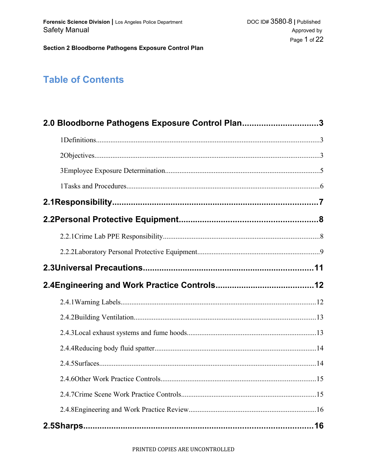# **Table of Contents**

| 2.0 Bloodborne Pathogens Exposure Control Plan3 |  |
|-------------------------------------------------|--|
|                                                 |  |
|                                                 |  |
|                                                 |  |
|                                                 |  |
|                                                 |  |
|                                                 |  |
|                                                 |  |
|                                                 |  |
|                                                 |  |
|                                                 |  |
|                                                 |  |
|                                                 |  |
|                                                 |  |
|                                                 |  |
|                                                 |  |
|                                                 |  |
|                                                 |  |
|                                                 |  |
|                                                 |  |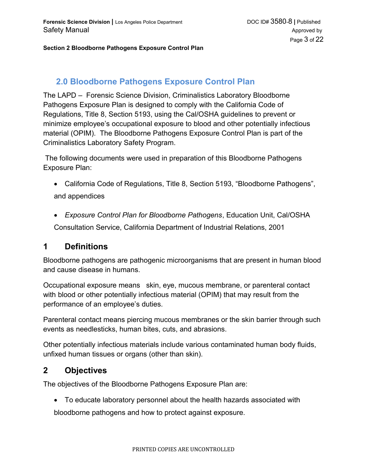# **2.0 Bloodborne Pathogens Exposure Control Plan**

The LAPD – Forensic Science Division, Criminalistics Laboratory Bloodborne Pathogens Exposure Plan is designed to comply with the California Code of Regulations, Title 8, Section 5193, using the Cal/OSHA guidelines to prevent or minimize employee's occupational exposure to blood and other potentially infectious material (OPIM). The Bloodborne Pathogens Exposure Control Plan is part of the Criminalistics Laboratory Safety Program.

 The following documents were used in preparation of this Bloodborne Pathogens Exposure Plan:

- California Code of Regulations, Title 8, Section 5193, "Bloodborne Pathogens", and appendices
- *Exposure Control Plan for Bloodborne Pathogens*, Education Unit, Cal/OSHA Consultation Service, California Department of Industrial Relations, 2001

### **1 Definitions**

Bloodborne pathogens are pathogenic microorganisms that are present in human blood and cause disease in humans.

Occupational exposure means skin, eye, mucous membrane, or parenteral contact with blood or other potentially infectious material (OPIM) that may result from the performance of an employee's duties.

Parenteral contact means piercing mucous membranes or the skin barrier through such events as needlesticks, human bites, cuts, and abrasions.

Other potentially infectious materials include various contaminated human body fluids, unfixed human tissues or organs (other than skin).

### **2 Objectives**

The objectives of the Bloodborne Pathogens Exposure Plan are:

To educate laboratory personnel about the health hazards associated with

bloodborne pathogens and how to protect against exposure.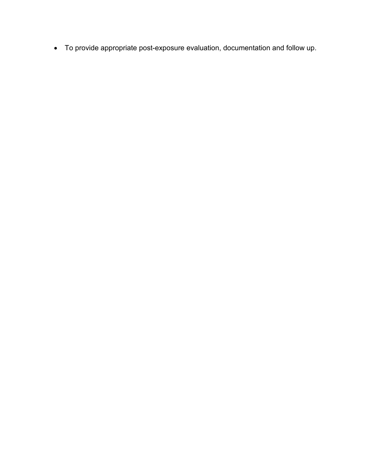To provide appropriate post-exposure evaluation, documentation and follow up.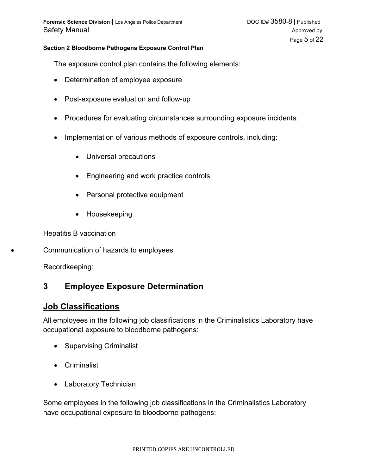The exposure control plan contains the following elements:

- Determination of employee exposure
- Post-exposure evaluation and follow-up
- Procedures for evaluating circumstances surrounding exposure incidents.
- Implementation of various methods of exposure controls, including:
	- Universal precautions
	- Engineering and work practice controls
	- Personal protective equipment
	- Housekeeping

Hepatitis B vaccination

Communication of hazards to employees

Recordkeeping:

### **3 Employee Exposure Determination**

#### **Job Classifications**

All employees in the following job classifications in the Criminalistics Laboratory have occupational exposure to bloodborne pathogens:

- Supervising Criminalist
- Criminalist
- Laboratory Technician

Some employees in the following job classifications in the Criminalistics Laboratory have occupational exposure to bloodborne pathogens: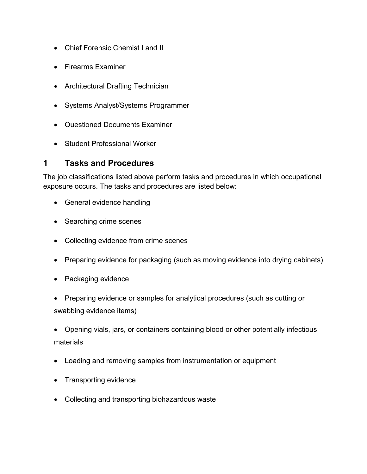- Chief Forensic Chemist I and II
- Firearms Examiner
- Architectural Drafting Technician
- Systems Analyst/Systems Programmer
- Questioned Documents Examiner
- Student Professional Worker

### **1 Tasks and Procedures**

The job classifications listed above perform tasks and procedures in which occupational exposure occurs. The tasks and procedures are listed below:

- General evidence handling
- Searching crime scenes
- Collecting evidence from crime scenes
- Preparing evidence for packaging (such as moving evidence into drying cabinets)
- Packaging evidence
- Preparing evidence or samples for analytical procedures (such as cutting or swabbing evidence items)
- Opening vials, jars, or containers containing blood or other potentially infectious materials
- Loading and removing samples from instrumentation or equipment
- Transporting evidence
- Collecting and transporting biohazardous waste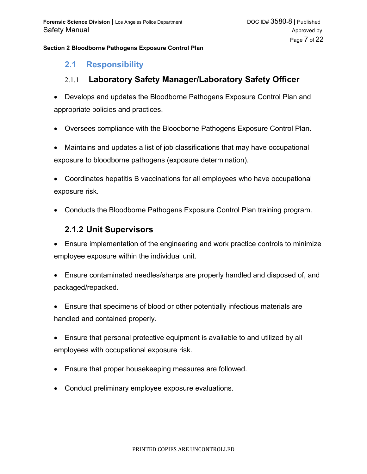### **2.1 Responsibility**

### 2.1.1 **Laboratory Safety Manager/Laboratory Safety Officer**

- Develops and updates the Bloodborne Pathogens Exposure Control Plan and appropriate policies and practices.
- Oversees compliance with the Bloodborne Pathogens Exposure Control Plan.
- Maintains and updates a list of job classifications that may have occupational exposure to bloodborne pathogens (exposure determination).
- Coordinates hepatitis B vaccinations for all employees who have occupational exposure risk.
- Conducts the Bloodborne Pathogens Exposure Control Plan training program.

### **2.1.2 Unit Supervisors**

- Ensure implementation of the engineering and work practice controls to minimize employee exposure within the individual unit.
- Ensure contaminated needles/sharps are properly handled and disposed of, and packaged/repacked.
- Ensure that specimens of blood or other potentially infectious materials are handled and contained properly.
- Ensure that personal protective equipment is available to and utilized by all employees with occupational exposure risk.
- Ensure that proper housekeeping measures are followed.
- Conduct preliminary employee exposure evaluations.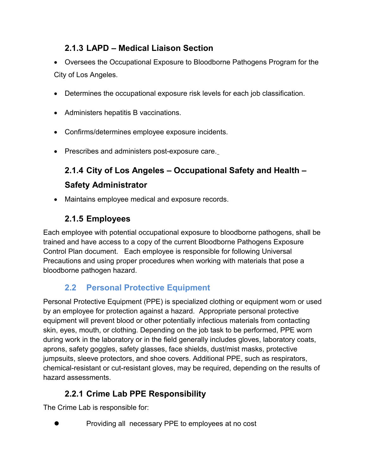# **2.1.3 LAPD – Medical Liaison Section**

- Oversees the Occupational Exposure to Bloodborne Pathogens Program for the City of Los Angeles.
- Determines the occupational exposure risk levels for each job classification.
- Administers hepatitis B vaccinations.
- Confirms/determines employee exposure incidents.
- Prescribes and administers post-exposure care.

# **2.1.4 City of Los Angeles – Occupational Safety and Health – Safety Administrator**

Maintains employee medical and exposure records.

# **2.1.5 Employees**

Each employee with potential occupational exposure to bloodborne pathogens, shall be trained and have access to a copy of the current Bloodborne Pathogens Exposure Control Plan document. Each employee is responsible for following Universal Precautions and using proper procedures when working with materials that pose a bloodborne pathogen hazard.

# **2.2 Personal Protective Equipment**

Personal Protective Equipment (PPE) is specialized clothing or equipment worn or used by an employee for protection against a hazard. Appropriate personal protective equipment will prevent blood or other potentially infectious materials from contacting skin, eyes, mouth, or clothing. Depending on the job task to be performed, PPE worn during work in the laboratory or in the field generally includes gloves, laboratory coats, aprons, safety goggles, safety glasses, face shields, dust/mist masks, protective jumpsuits, sleeve protectors, and shoe covers. Additional PPE, such as respirators, chemical-resistant or cut-resistant gloves, may be required, depending on the results of hazard assessments.

# **2.2.1 Crime Lab PPE Responsibility**

The Crime Lab is responsible for:

Providing all necessary PPE to employees at no cost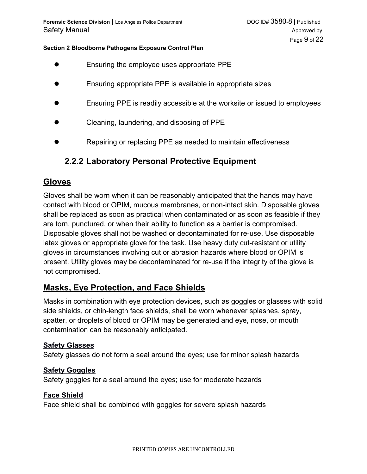- Ensuring the employee uses appropriate PPE
- Ensuring appropriate PPE is available in appropriate sizes
- Ensuring PPE is readily accessible at the worksite or issued to employees
- Cleaning, laundering, and disposing of PPE
- Repairing or replacing PPE as needed to maintain effectiveness

### **2.2.2 Laboratory Personal Protective Equipment**

### **Gloves**

Gloves shall be worn when it can be reasonably anticipated that the hands may have contact with blood or OPIM, mucous membranes, or non-intact skin. Disposable gloves shall be replaced as soon as practical when contaminated or as soon as feasible if they are torn, punctured, or when their ability to function as a barrier is compromised. Disposable gloves shall not be washed or decontaminated for re-use. Use disposable latex gloves or appropriate glove for the task. Use heavy duty cut-resistant or utility gloves in circumstances involving cut or abrasion hazards where blood or OPIM is present. Utility gloves may be decontaminated for re-use if the integrity of the glove is not compromised.

### **Masks, Eye Protection, and Face Shields**

Masks in combination with eye protection devices, such as goggles or glasses with solid side shields, or chin-length face shields, shall be worn whenever splashes, spray, spatter, or droplets of blood or OPIM may be generated and eye, nose, or mouth contamination can be reasonably anticipated.

#### **Safety Glasses**

Safety glasses do not form a seal around the eyes; use for minor splash hazards

#### **Safety Goggles**

Safety goggles for a seal around the eyes; use for moderate hazards

#### **Face Shield**

Face shield shall be combined with goggles for severe splash hazards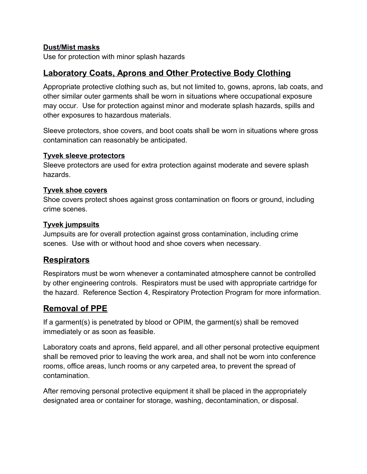### **Dust/Mist masks**

Use for protection with minor splash hazards

### **Laboratory Coats, Aprons and Other Protective Body Clothing**

Appropriate protective clothing such as, but not limited to, gowns, aprons, lab coats, and other similar outer garments shall be worn in situations where occupational exposure may occur. Use for protection against minor and moderate splash hazards, spills and other exposures to hazardous materials.

Sleeve protectors, shoe covers, and boot coats shall be worn in situations where gross contamination can reasonably be anticipated.

#### **Tyvek sleeve protectors**

Sleeve protectors are used for extra protection against moderate and severe splash hazards.

#### **Tyvek shoe covers**

Shoe covers protect shoes against gross contamination on floors or ground, including crime scenes.

#### **Tyvek jumpsuits**

Jumpsuits are for overall protection against gross contamination, including crime scenes. Use with or without hood and shoe covers when necessary.

### **Respirators**

Respirators must be worn whenever a contaminated atmosphere cannot be controlled by other engineering controls. Respirators must be used with appropriate cartridge for the hazard. Reference Section 4, Respiratory Protection Program for more information.

### **Removal of PPE**

If a garment(s) is penetrated by blood or OPIM, the garment(s) shall be removed immediately or as soon as feasible.

Laboratory coats and aprons, field apparel, and all other personal protective equipment shall be removed prior to leaving the work area, and shall not be worn into conference rooms, office areas, lunch rooms or any carpeted area, to prevent the spread of contamination.

After removing personal protective equipment it shall be placed in the appropriately designated area or container for storage, washing, decontamination, or disposal.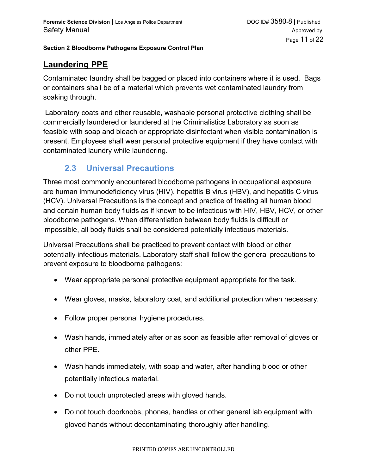# **Laundering PPE**

Contaminated laundry shall be bagged or placed into containers where it is used. Bags or containers shall be of a material which prevents wet contaminated laundry from soaking through.

 Laboratory coats and other reusable, washable personal protective clothing shall be commercially laundered or laundered at the Criminalistics Laboratory as soon as feasible with soap and bleach or appropriate disinfectant when visible contamination is present. Employees shall wear personal protective equipment if they have contact with contaminated laundry while laundering.

### **2.3 Universal Precautions**

Three most commonly encountered bloodborne pathogens in occupational exposure are human immunodeficiency virus (HIV), hepatitis B virus (HBV), and hepatitis C virus (HCV). Universal Precautions is the concept and practice of treating all human blood and certain human body fluids as if known to be infectious with HIV, HBV, HCV, or other bloodborne pathogens. When differentiation between body fluids is difficult or impossible, all body fluids shall be considered potentially infectious materials.

Universal Precautions shall be practiced to prevent contact with blood or other potentially infectious materials. Laboratory staff shall follow the general precautions to prevent exposure to bloodborne pathogens:

- Wear appropriate personal protective equipment appropriate for the task.
- Wear gloves, masks, laboratory coat, and additional protection when necessary.
- Follow proper personal hygiene procedures.
- Wash hands, immediately after or as soon as feasible after removal of gloves or other PPE.
- Wash hands immediately, with soap and water, after handling blood or other potentially infectious material.
- Do not touch unprotected areas with gloved hands.
- Do not touch doorknobs, phones, handles or other general lab equipment with gloved hands without decontaminating thoroughly after handling.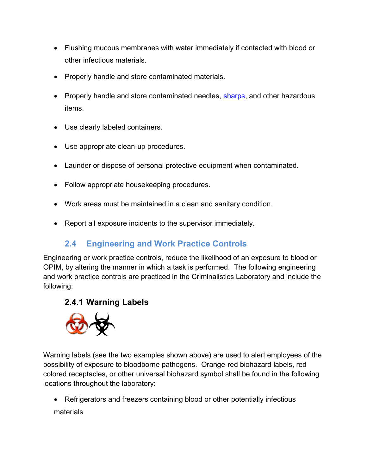- Flushing mucous membranes with water immediately if contacted with blood or other infectious materials.
- Properly handle and store contaminated materials.
- Properly handle and store contaminated needles, [sharps,](#page-15-0) and other hazardous items.
- Use clearly labeled containers.
- Use appropriate clean-up procedures.
- Launder or dispose of personal protective equipment when contaminated.
- Follow appropriate housekeeping procedures.
- Work areas must be maintained in a clean and sanitary condition.
- Report all exposure incidents to the supervisor immediately.

# <span id="page-11-0"></span>**2.4 Engineering and Work Practice Controls**

Engineering or work practice controls, reduce the likelihood of an exposure to blood or OPIM, by altering the manner in which a task is performed. The following engineering and work practice controls are practiced in the Criminalistics Laboratory and include the following:

# **2.4.1 Warning Labels**



Warning labels (see the two examples shown above) are used to alert employees of the possibility of exposure to bloodborne pathogens. Orange-red biohazard labels, red colored receptacles, or other universal biohazard symbol shall be found in the following locations throughout the laboratory:

• Refrigerators and freezers containing blood or other potentially infectious materials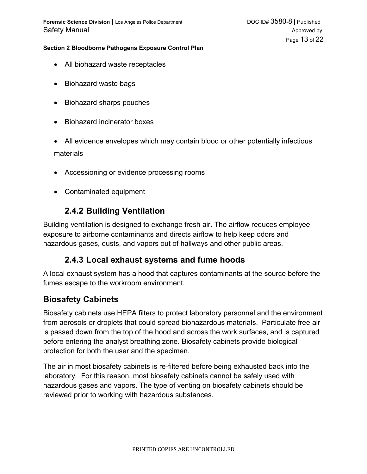**Forensic Science Division |** Los Angeles Police Department DOC ID# 3580-8 **|** Published Safety Manual Approved by Approved by Approved by Approved by Approved by Approved by Approved by Approved by Approved by Approved by Approved by Approved by Approved by Approved by Approved by Approved by Approved by Appr

#### **Section 2 Bloodborne Pathogens Exposure Control Plan**

- All biohazard waste receptacles
- Biohazard waste bags
- Biohazard sharps pouches
- Biohazard incinerator boxes
- All evidence envelopes which may contain blood or other potentially infectious materials
- Accessioning or evidence processing rooms
- Contaminated equipment

# **2.4.2 Building Ventilation**

Building ventilation is designed to exchange fresh air. The airflow reduces employee exposure to airborne contaminants and directs airflow to help keep odors and hazardous gases, dusts, and vapors out of hallways and other public areas.

### **2.4.3 Local exhaust systems and fume hoods**

A local exhaust system has a hood that captures contaminants at the source before the fumes escape to the workroom environment.

### **Biosafety Cabinets**

Biosafety cabinets use HEPA filters to protect laboratory personnel and the environment from aerosols or droplets that could spread biohazardous materials. Particulate free air is passed down from the top of the hood and across the work surfaces, and is captured before entering the analyst breathing zone. Biosafety cabinets provide biological protection for both the user and the specimen.

The air in most biosafety cabinets is re-filtered before being exhausted back into the laboratory. For this reason, most biosafety cabinets cannot be safely used with hazardous gases and vapors. The type of venting on biosafety cabinets should be reviewed prior to working with hazardous substances.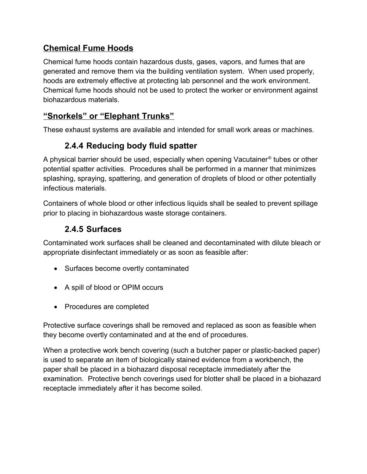# **Chemical Fume Hoods**

Chemical fume hoods contain hazardous dusts, gases, vapors, and fumes that are generated and remove them via the building ventilation system. When used properly, hoods are extremely effective at protecting lab personnel and the work environment. Chemical fume hoods should not be used to protect the worker or environment against biohazardous materials.

# **"Snorkels" or "Elephant Trunks"**

These exhaust systems are available and intended for small work areas or machines.

# **2.4.4 Reducing body fluid spatter**

A physical barrier should be used, especially when opening Vacutainer® tubes or other potential spatter activities. Procedures shall be performed in a manner that minimizes splashing, spraying, spattering, and generation of droplets of blood or other potentially infectious materials.

Containers of whole blood or other infectious liquids shall be sealed to prevent spillage prior to placing in biohazardous waste storage containers.

# **2.4.5 Surfaces**

Contaminated work surfaces shall be cleaned and decontaminated with dilute bleach or appropriate disinfectant immediately or as soon as feasible after:

- Surfaces become overtly contaminated
- A spill of blood or OPIM occurs
- Procedures are completed

Protective surface coverings shall be removed and replaced as soon as feasible when they become overtly contaminated and at the end of procedures.

When a protective work bench covering (such a butcher paper or plastic-backed paper) is used to separate an item of biologically stained evidence from a workbench, the paper shall be placed in a biohazard disposal receptacle immediately after the examination. Protective bench coverings used for blotter shall be placed in a biohazard receptacle immediately after it has become soiled.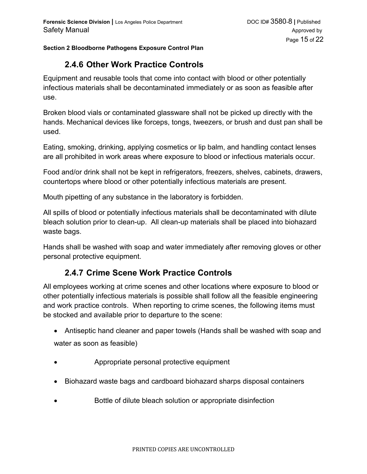# **2.4.6 Other Work Practice Controls**

Equipment and reusable tools that come into contact with blood or other potentially infectious materials shall be decontaminated immediately or as soon as feasible after use.

Broken blood vials or contaminated glassware shall not be picked up directly with the hands. Mechanical devices like forceps, tongs, tweezers, or brush and dust pan shall be used.

Eating, smoking, drinking, applying cosmetics or lip balm, and handling contact lenses are all prohibited in work areas where exposure to blood or infectious materials occur.

Food and/or drink shall not be kept in refrigerators, freezers, shelves, cabinets, drawers, countertops where blood or other potentially infectious materials are present.

Mouth pipetting of any substance in the laboratory is forbidden.

All spills of blood or potentially infectious materials shall be decontaminated with dilute bleach solution prior to clean-up. All clean-up materials shall be placed into biohazard waste bags.

Hands shall be washed with soap and water immediately after removing gloves or other personal protective equipment.

### **2.4.7 Crime Scene Work Practice Controls**

All employees working at crime scenes and other locations where exposure to blood or other potentially infectious materials is possible shall follow all the feasible [engineering](#page-11-0)  [and work practice controls.](#page-11-0) When reporting to crime scenes, the following items must be stocked and available prior to departure to the scene:

- Antiseptic hand cleaner and paper towels (Hands shall be washed with soap and water as soon as feasible)
- Appropriate personal protective equipment
- Biohazard waste bags and cardboard biohazard sharps disposal containers
- Bottle of dilute bleach solution or appropriate disinfection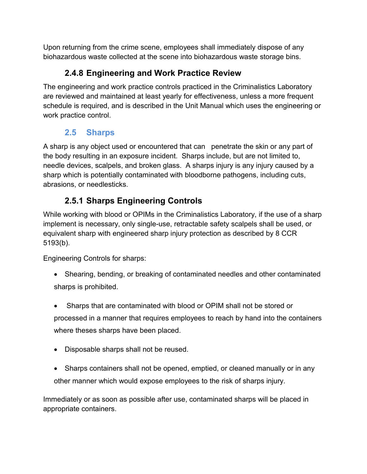Upon returning from the crime scene, employees shall immediately dispose of any biohazardous waste collected at the scene into biohazardous waste storage bins.

# **2.4.8 Engineering and Work Practice Review**

The engineering and work practice controls practiced in the Criminalistics Laboratory are reviewed and maintained at least yearly for effectiveness, unless a more frequent schedule is required, and is described in the Unit Manual which uses the engineering or work practice control.

# <span id="page-15-0"></span>**2.5 Sharps**

A sharp is any object used or encountered that can penetrate the skin or any part of the body resulting in an exposure incident. Sharps include, but are not limited to, needle devices, scalpels, and broken glass. A sharps injury is any injury caused by a sharp which is potentially contaminated with bloodborne pathogens, including cuts, abrasions, or needlesticks.

# **2.5.1 Sharps Engineering Controls**

While working with blood or OPIMs in the Criminalistics Laboratory, if the use of a sharp implement is necessary, only single-use, retractable safety scalpels shall be used, or equivalent sharp with engineered sharp injury protection as described by 8 CCR 5193(b).

Engineering Controls for sharps:

- Shearing, bending, or breaking of contaminated needles and other contaminated sharps is prohibited.
- Sharps that are contaminated with blood or OPIM shall not be stored or processed in a manner that requires employees to reach by hand into the containers where theses sharps have been placed.
- Disposable sharps shall not be reused.
- Sharps containers shall not be opened, emptied, or cleaned manually or in any other manner which would expose employees to the risk of sharps injury.

Immediately or as soon as possible after use, contaminated sharps will be placed in appropriate containers.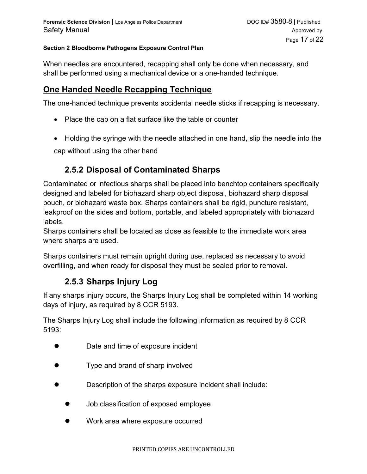When needles are encountered, recapping shall only be done when necessary, and shall be performed using a mechanical device or a one-handed technique.

# **One Handed Needle Recapping Technique**

The one-handed technique prevents accidental needle sticks if recapping is necessary.

- Place the cap on a flat surface like the table or counter
- Holding the syringe with the needle attached in one hand, slip the needle into the cap without using the other hand

# **2.5.2 Disposal of Contaminated Sharps**

Contaminated or infectious sharps shall be placed into benchtop containers specifically designed and labeled for biohazard sharp object disposal, biohazard sharp disposal pouch, or biohazard waste box. Sharps containers shall be rigid, puncture resistant, leakproof on the sides and bottom, portable, and labeled appropriately with biohazard labels.

Sharps containers shall be located as close as feasible to the immediate work area where sharps are used.

Sharps containers must remain upright during use, replaced as necessary to avoid overfilling, and when ready for disposal they must be sealed prior to removal.

# **2.5.3 Sharps Injury Log**

If any sharps injury occurs, the Sharps Injury Log shall be completed within 14 working days of injury, as required by 8 CCR 5193.

The Sharps Injury Log shall include the following information as required by 8 CCR 5193:

- Date and time of exposure incident
- Type and brand of sharp involved
- Description of the sharps exposure incident shall include:
	- Job classification of exposed employee
	- Work area where exposure occurred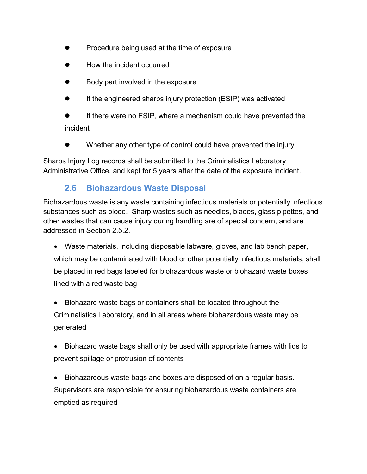- Procedure being used at the time of exposure
- How the incident occurred
- Body part involved in the exposure
- **If the engineered sharps injury protection (ESIP) was activated**
- If there were no ESIP, where a mechanism could have prevented the incident
- Whether any other type of control could have prevented the injury

Sharps Injury Log records shall be submitted to the Criminalistics Laboratory Administrative Office, and kept for 5 years after the date of the exposure incident.

### **2.6 Biohazardous Waste Disposal**

Biohazardous waste is any waste containing infectious materials or potentially infectious substances such as blood. Sharp wastes such as needles, blades, glass pipettes, and other wastes that can cause injury during handling are of special concern, and are addressed in Section 2.5.2.

- Waste materials, including disposable labware, gloves, and lab bench paper, which may be contaminated with blood or other potentially infectious materials, shall be placed in red bags labeled for biohazardous waste or biohazard waste boxes lined with a red waste bag
- Biohazard waste bags or containers shall be located throughout the Criminalistics Laboratory, and in all areas where biohazardous waste may be generated
- Biohazard waste bags shall only be used with appropriate frames with lids to prevent spillage or protrusion of contents
- Biohazardous waste bags and boxes are disposed of on a regular basis. Supervisors are responsible for ensuring biohazardous waste containers are emptied as required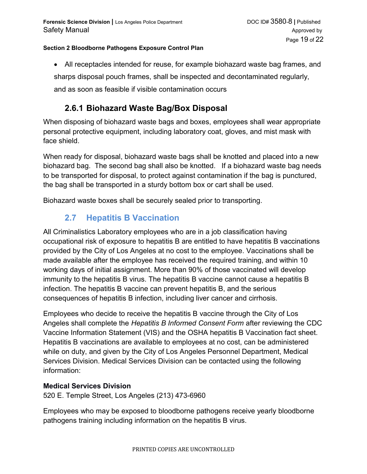All receptacles intended for reuse, for example biohazard waste bag frames, and sharps disposal pouch frames, shall be inspected and decontaminated regularly, and as soon as feasible if visible contamination occurs

# **2.6.1 Biohazard Waste Bag/Box Disposal**

When disposing of biohazard waste bags and boxes, employees shall wear appropriate personal protective equipment, including laboratory coat, gloves, and mist mask with face shield.

When ready for disposal, biohazard waste bags shall be knotted and placed into a new biohazard bag. The second bag shall also be knotted. If a biohazard waste bag needs to be transported for disposal, to protect against contamination if the bag is punctured, the bag shall be transported in a sturdy bottom box or cart shall be used.

Biohazard waste boxes shall be securely sealed prior to transporting.

# **2.7 Hepatitis B Vaccination**

All Criminalistics Laboratory employees who are in a job classification having occupational risk of exposure to hepatitis B are entitled to have hepatitis B vaccinations provided by the City of Los Angeles at no cost to the employee. Vaccinations shall be made available after the employee has received the required training, and within 10 working days of initial assignment. More than 90% of those vaccinated will develop immunity to the hepatitis B virus. The hepatitis B vaccine cannot cause a hepatitis B infection. The hepatitis B vaccine can prevent hepatitis B, and the serious consequences of hepatitis B infection, including liver cancer and cirrhosis.

Employees who decide to receive the hepatitis B vaccine through the City of Los Angeles shall complete the *Hepatitis B Informed Consent Form* after reviewing the CDC Vaccine Information Statement (VIS) and the OSHA hepatitis B Vaccination fact sheet. Hepatitis B vaccinations are available to employees at no cost, can be administered while on duty, and given by the City of Los Angeles Personnel Department, Medical Services Division. Medical Services Division can be contacted using the following information:

#### **Medical Services Division**

520 E. Temple Street, Los Angeles (213) 473-6960

Employees who may be exposed to bloodborne pathogens receive yearly bloodborne pathogens training including information on the hepatitis B virus.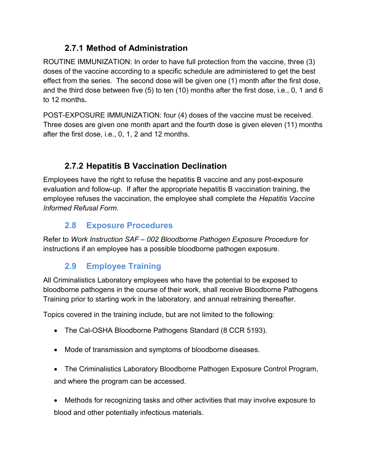# **2.7.1 Method of Administration**

ROUTINE IMMUNIZATION: In order to have full protection from the vaccine, three (3) doses of the vaccine according to a specific schedule are administered to get the best effect from the series. The second dose will be given one (1) month after the first dose, and the third dose between five (5) to ten (10) months after the first dose, i.e., 0, 1 and 6 to 12 months**.**

POST-EXPOSURE IMMUNIZATION: four (4) doses of the vaccine must be received. Three doses are given one month apart and the fourth dose is given eleven (11) months after the first dose, i.e., 0, 1, 2 and 12 months.

# **2.7.2 Hepatitis B Vaccination Declination**

Employees have the right to refuse the hepatitis B vaccine and any post-exposure evaluation and follow-up. If after the appropriate hepatitis B vaccination training, the employee refuses the vaccination, the employee shall complete the *Hepatitis Vaccine Informed Refusal Form*.

# **2.8 Exposure Procedures**

Refer to *Work Instruction SAF – 002 Bloodborne Pathogen Exposure Procedure* for instructions if an employee has a possible bloodborne pathogen exposure.

# **2.9 Employee Training**

All Criminalistics Laboratory employees who have the potential to be exposed to bloodborne pathogens in the course of their work, shall receive Bloodborne Pathogens Training prior to starting work in the laboratory, and annual retraining thereafter.

Topics covered in the training include, but are not limited to the following:

- The Cal-OSHA Bloodborne Pathogens Standard (8 CCR 5193).
- Mode of transmission and symptoms of bloodborne diseases.
- The Criminalistics Laboratory Bloodborne Pathogen Exposure Control Program, and where the program can be accessed.
- Methods for recognizing tasks and other activities that may involve exposure to blood and other potentially infectious materials.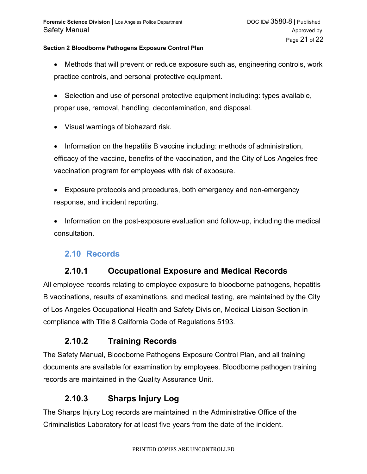- Methods that will prevent or reduce exposure such as, engineering controls, work practice controls, and personal protective equipment.
- Selection and use of personal protective equipment including: types available, proper use, removal, handling, decontamination, and disposal.
- Visual warnings of biohazard risk.

• Information on the hepatitis B vaccine including: methods of administration, efficacy of the vaccine, benefits of the vaccination, and the City of Los Angeles free vaccination program for employees with risk of exposure.

- Exposure protocols and procedures, both emergency and non-emergency response, and incident reporting.
- Information on the post-exposure evaluation and follow-up, including the medical consultation.

### **2.10 Records**

# **2.10.1 Occupational Exposure and Medical Records**

All employee records relating to employee exposure to bloodborne pathogens, hepatitis B vaccinations, results of examinations, and medical testing, are maintained by the City of Los Angeles Occupational Health and Safety Division, Medical Liaison Section in compliance with Title 8 California Code of Regulations 5193.

### **2.10.2 Training Records**

The Safety Manual, Bloodborne Pathogens Exposure Control Plan, and all training documents are available for examination by employees. Bloodborne pathogen training records are maintained in the Quality Assurance Unit.

### **2.10.3 Sharps Injury Log**

The Sharps Injury Log records are maintained in the Administrative Office of the Criminalistics Laboratory for at least five years from the date of the incident.